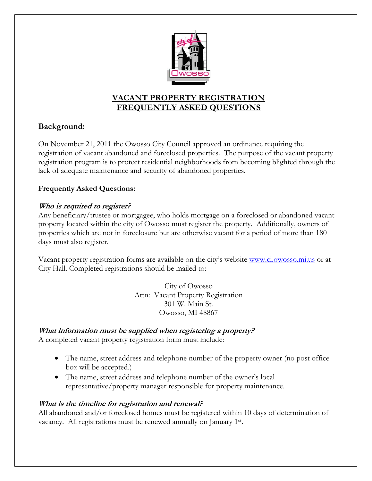

# **VACANT PROPERTY REGISTRATION FREQUENTLY ASKED QUESTIONS**

# **Background:**

On November 21, 2011 the Owosso City Council approved an ordinance requiring the registration of vacant abandoned and foreclosed properties. The purpose of the vacant property registration program is to protect residential neighborhoods from becoming blighted through the lack of adequate maintenance and security of abandoned properties.

## **Frequently Asked Questions:**

### **Who is required to register?**

Any beneficiary/trustee or mortgagee, who holds mortgage on a foreclosed or abandoned vacant property located within the city of Owosso must register the property. Additionally, owners of properties which are not in foreclosure but are otherwise vacant for a period of more than 180 days must also register.

Vacant property registration forms are available on the city's website www.ci.owosso.mi.us or at City Hall. Completed registrations should be mailed to:

> City of Owosso Attn: Vacant Property Registration 301 W. Main St. Owosso, MI 48867

## **What information must be supplied when registering a property?**

A completed vacant property registration form must include:

- The name, street address and telephone number of the property owner (no post office box will be accepted.)
- The name, street address and telephone number of the owner's local representative/property manager responsible for property maintenance.

### **What is the timeline for registration and renewal?**

All abandoned and/or foreclosed homes must be registered within 10 days of determination of vacancy. All registrations must be renewed annually on January 1st.